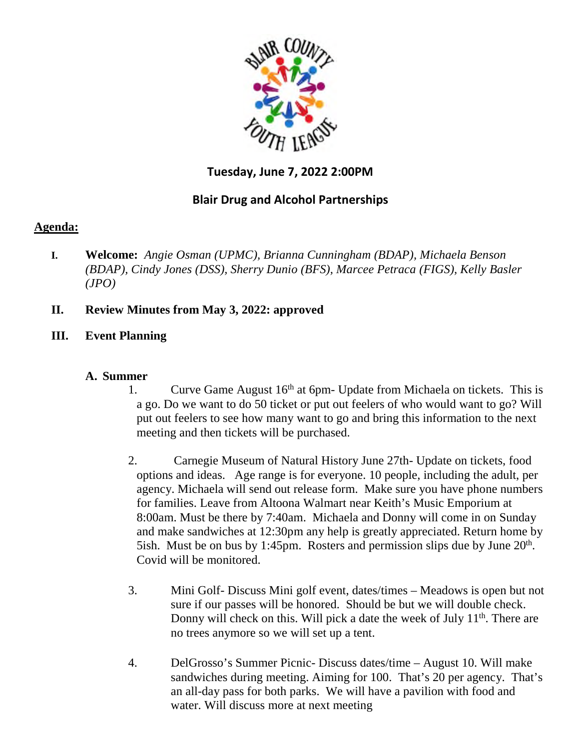

# **Tuesday, June 7, 2022 2:00PM**

## **Blair Drug and Alcohol Partnerships**

## **Agenda:**

- **I. Welcome:** *Angie Osman (UPMC), Brianna Cunningham (BDAP), Michaela Benson (BDAP), Cindy Jones (DSS), Sherry Dunio (BFS), Marcee Petraca (FIGS), Kelly Basler (JPO)*
- **II. Review Minutes from May 3, 2022: approved**
- **III. Event Planning**

#### **A. Summer**

- 1. Curve Game August  $16<sup>th</sup>$  at 6pm- Update from Michaela on tickets. This is a go. Do we want to do 50 ticket or put out feelers of who would want to go? Will put out feelers to see how many want to go and bring this information to the next meeting and then tickets will be purchased.
- 2. Carnegie Museum of Natural History June 27th- Update on tickets, food options and ideas. Age range is for everyone. 10 people, including the adult, per agency. Michaela will send out release form. Make sure you have phone numbers for families. Leave from Altoona Walmart near Keith's Music Emporium at 8:00am. Must be there by 7:40am. Michaela and Donny will come in on Sunday and make sandwiches at 12:30pm any help is greatly appreciated. Return home by 5ish. Must be on bus by 1:45pm. Rosters and permission slips due by June  $20<sup>th</sup>$ . Covid will be monitored.
- 3. Mini Golf- Discuss Mini golf event, dates/times Meadows is open but not sure if our passes will be honored. Should be but we will double check. Donny will check on this. Will pick a date the week of July  $11<sup>th</sup>$ . There are no trees anymore so we will set up a tent.
- 4. DelGrosso's Summer Picnic- Discuss dates/time August 10. Will make sandwiches during meeting. Aiming for 100. That's 20 per agency. That's an all-day pass for both parks. We will have a pavilion with food and water. Will discuss more at next meeting